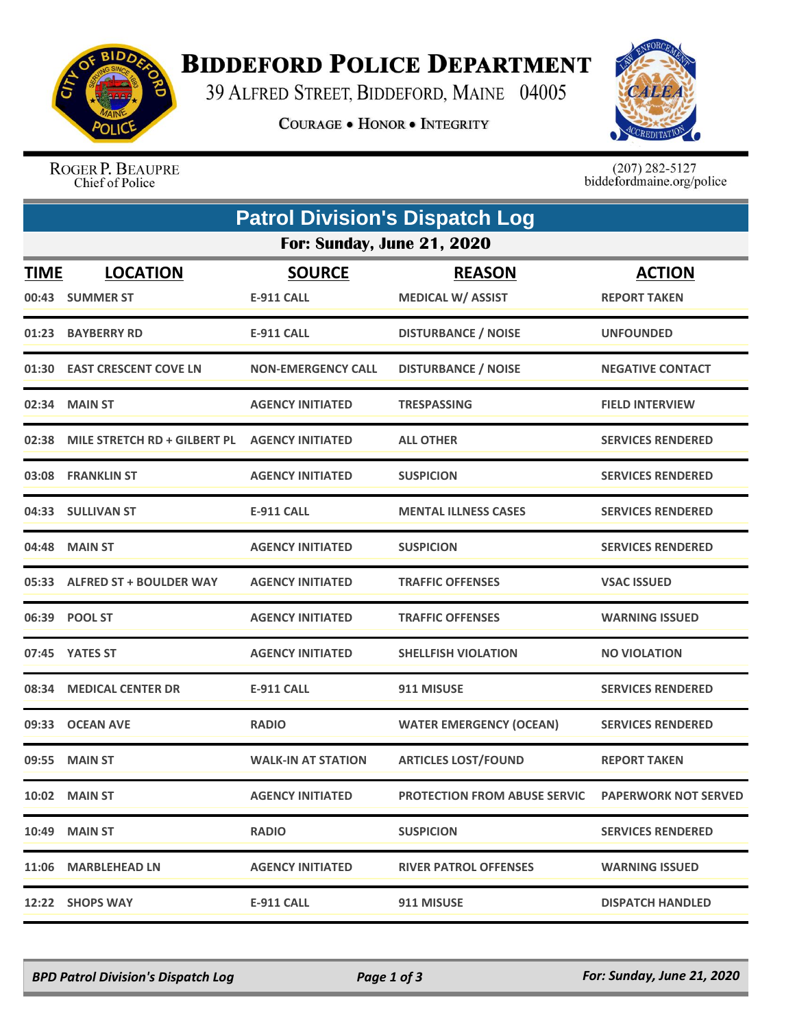

## **BIDDEFORD POLICE DEPARTMENT**

39 ALFRED STREET, BIDDEFORD, MAINE 04005

**COURAGE . HONOR . INTEGRITY** 



ROGER P. BEAUPRE Chief of Police

 $(207)$  282-5127<br>biddefordmaine.org/police

| <b>Patrol Division's Dispatch Log</b> |                               |                           |                                     |                             |  |  |  |  |
|---------------------------------------|-------------------------------|---------------------------|-------------------------------------|-----------------------------|--|--|--|--|
| <b>For: Sunday, June 21, 2020</b>     |                               |                           |                                     |                             |  |  |  |  |
| <b>TIME</b>                           | <b>LOCATION</b>               | <b>SOURCE</b>             | <b>REASON</b>                       | <b>ACTION</b>               |  |  |  |  |
| 00:43                                 | <b>SUMMER ST</b>              | <b>E-911 CALL</b>         | <b>MEDICAL W/ ASSIST</b>            | <b>REPORT TAKEN</b>         |  |  |  |  |
|                                       | 01:23 BAYBERRY RD             | <b>E-911 CALL</b>         | <b>DISTURBANCE / NOISE</b>          | <b>UNFOUNDED</b>            |  |  |  |  |
|                                       | 01:30 EAST CRESCENT COVE LN   | <b>NON-EMERGENCY CALL</b> | <b>DISTURBANCE / NOISE</b>          | <b>NEGATIVE CONTACT</b>     |  |  |  |  |
|                                       | 02:34 MAIN ST                 | <b>AGENCY INITIATED</b>   | <b>TRESPASSING</b>                  | <b>FIELD INTERVIEW</b>      |  |  |  |  |
| 02:38                                 | MILE STRETCH RD + GILBERT PL  | <b>AGENCY INITIATED</b>   | <b>ALL OTHER</b>                    | <b>SERVICES RENDERED</b>    |  |  |  |  |
|                                       | 03:08 FRANKLIN ST             | <b>AGENCY INITIATED</b>   | <b>SUSPICION</b>                    | <b>SERVICES RENDERED</b>    |  |  |  |  |
|                                       | 04:33 SULLIVAN ST             | <b>E-911 CALL</b>         | <b>MENTAL ILLNESS CASES</b>         | <b>SERVICES RENDERED</b>    |  |  |  |  |
| 04:48                                 | <b>MAIN ST</b>                | <b>AGENCY INITIATED</b>   | <b>SUSPICION</b>                    | <b>SERVICES RENDERED</b>    |  |  |  |  |
|                                       | 05:33 ALFRED ST + BOULDER WAY | <b>AGENCY INITIATED</b>   | <b>TRAFFIC OFFENSES</b>             | <b>VSAC ISSUED</b>          |  |  |  |  |
|                                       | 06:39 POOL ST                 | <b>AGENCY INITIATED</b>   | <b>TRAFFIC OFFENSES</b>             | <b>WARNING ISSUED</b>       |  |  |  |  |
| 07:45                                 | <b>YATES ST</b>               | <b>AGENCY INITIATED</b>   | <b>SHELLFISH VIOLATION</b>          | <b>NO VIOLATION</b>         |  |  |  |  |
| 08:34                                 | <b>MEDICAL CENTER DR</b>      | <b>E-911 CALL</b>         | 911 MISUSE                          | <b>SERVICES RENDERED</b>    |  |  |  |  |
|                                       | 09:33 OCEAN AVE               | <b>RADIO</b>              | <b>WATER EMERGENCY (OCEAN)</b>      | <b>SERVICES RENDERED</b>    |  |  |  |  |
|                                       | 09:55 MAIN ST                 | <b>WALK-IN AT STATION</b> | <b>ARTICLES LOST/FOUND</b>          | <b>REPORT TAKEN</b>         |  |  |  |  |
|                                       | <b>10:02 MAIN ST</b>          | <b>AGENCY INITIATED</b>   | <b>PROTECTION FROM ABUSE SERVIC</b> | <b>PAPERWORK NOT SERVED</b> |  |  |  |  |
|                                       | <b>10:49 MAIN ST</b>          | <b>RADIO</b>              | <b>SUSPICION</b>                    | <b>SERVICES RENDERED</b>    |  |  |  |  |
|                                       | 11:06 MARBLEHEAD LN           | <b>AGENCY INITIATED</b>   | <b>RIVER PATROL OFFENSES</b>        | <b>WARNING ISSUED</b>       |  |  |  |  |
|                                       | 12:22 SHOPS WAY               | <b>E-911 CALL</b>         | 911 MISUSE                          | <b>DISPATCH HANDLED</b>     |  |  |  |  |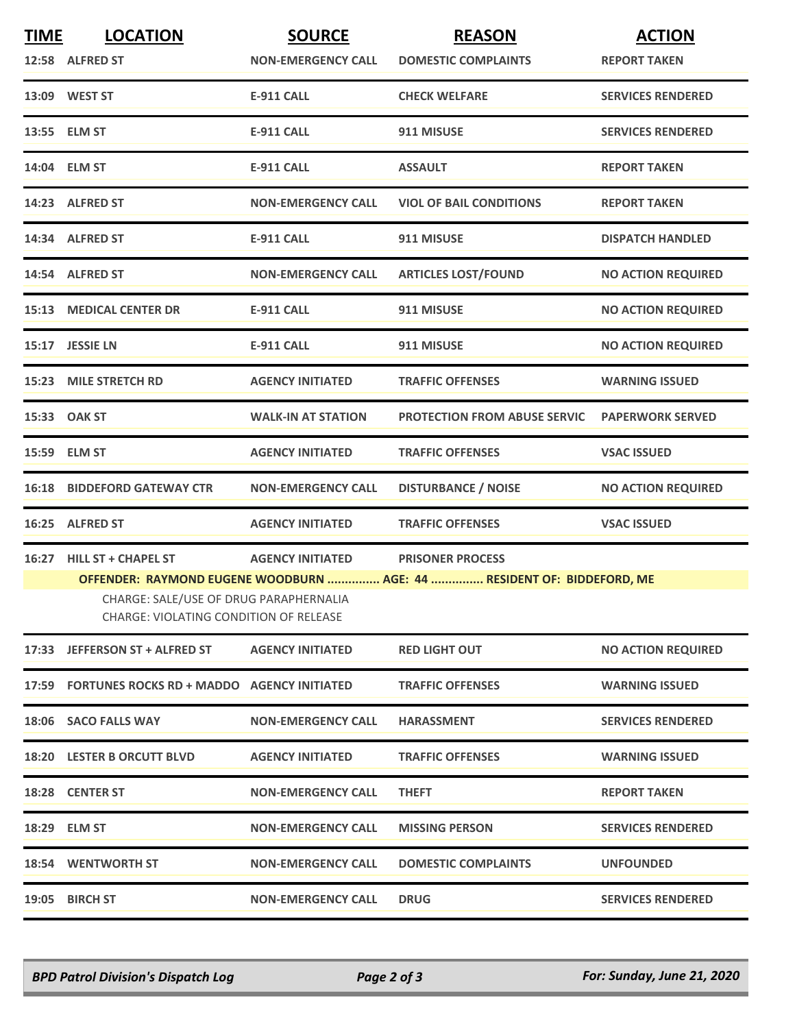| <b>TIME</b> | <b>LOCATION</b>                                                                  | <b>SOURCE</b>             | <b>REASON</b>                       | <b>ACTION</b>             |  |  |  |
|-------------|----------------------------------------------------------------------------------|---------------------------|-------------------------------------|---------------------------|--|--|--|
|             | 12:58 ALFRED ST                                                                  | <b>NON-EMERGENCY CALL</b> | <b>DOMESTIC COMPLAINTS</b>          | <b>REPORT TAKEN</b>       |  |  |  |
|             | 13:09 WEST ST                                                                    | <b>E-911 CALL</b>         | <b>CHECK WELFARE</b>                | <b>SERVICES RENDERED</b>  |  |  |  |
|             | 13:55 ELM ST                                                                     | <b>E-911 CALL</b>         | 911 MISUSE                          | <b>SERVICES RENDERED</b>  |  |  |  |
|             | 14:04 ELM ST                                                                     | <b>E-911 CALL</b>         | <b>ASSAULT</b>                      | <b>REPORT TAKEN</b>       |  |  |  |
|             | 14:23 ALFRED ST                                                                  | <b>NON-EMERGENCY CALL</b> | <b>VIOL OF BAIL CONDITIONS</b>      | <b>REPORT TAKEN</b>       |  |  |  |
|             | 14:34 ALFRED ST                                                                  | <b>E-911 CALL</b>         | 911 MISUSE                          | <b>DISPATCH HANDLED</b>   |  |  |  |
|             | 14:54 ALFRED ST                                                                  | <b>NON-EMERGENCY CALL</b> | <b>ARTICLES LOST/FOUND</b>          | <b>NO ACTION REQUIRED</b> |  |  |  |
|             | <b>15:13 MEDICAL CENTER DR</b>                                                   | <b>E-911 CALL</b>         | 911 MISUSE                          | <b>NO ACTION REQUIRED</b> |  |  |  |
|             | 15:17 JESSIE LN                                                                  | <b>E-911 CALL</b>         | 911 MISUSE                          | <b>NO ACTION REQUIRED</b> |  |  |  |
|             | 15:23 MILE STRETCH RD                                                            | <b>AGENCY INITIATED</b>   | <b>TRAFFIC OFFENSES</b>             | <b>WARNING ISSUED</b>     |  |  |  |
|             | 15:33 OAK ST                                                                     | <b>WALK-IN AT STATION</b> | <b>PROTECTION FROM ABUSE SERVIC</b> | <b>PAPERWORK SERVED</b>   |  |  |  |
|             | 15:59 ELM ST                                                                     | <b>AGENCY INITIATED</b>   | <b>TRAFFIC OFFENSES</b>             | <b>VSAC ISSUED</b>        |  |  |  |
|             | <b>16:18 BIDDEFORD GATEWAY CTR</b>                                               | <b>NON-EMERGENCY CALL</b> | <b>DISTURBANCE / NOISE</b>          | <b>NO ACTION REQUIRED</b> |  |  |  |
|             | 16:25 ALFRED ST                                                                  | <b>AGENCY INITIATED</b>   | <b>TRAFFIC OFFENSES</b>             | <b>VSAC ISSUED</b>        |  |  |  |
|             | 16:27 HILL ST + CHAPEL ST                                                        | <b>AGENCY INITIATED</b>   | <b>PRISONER PROCESS</b>             |                           |  |  |  |
|             | OFFENDER: RAYMOND EUGENE WOODBURN  AGE: 44  RESIDENT OF: BIDDEFORD, ME           |                           |                                     |                           |  |  |  |
|             | CHARGE: SALE/USE OF DRUG PARAPHERNALIA<br>CHARGE: VIOLATING CONDITION OF RELEASE |                           |                                     |                           |  |  |  |
|             | 17:33 JEFFERSON ST + ALFRED ST                                                   | <b>AGENCY INITIATED</b>   | <b>RED LIGHT OUT</b>                | <b>NO ACTION REQUIRED</b> |  |  |  |
|             | 17:59 FORTUNES ROCKS RD + MADDO AGENCY INITIATED                                 |                           | <b>TRAFFIC OFFENSES</b>             | <b>WARNING ISSUED</b>     |  |  |  |
|             | 18:06 SACO FALLS WAY                                                             | <b>NON-EMERGENCY CALL</b> | <b>HARASSMENT</b>                   | <b>SERVICES RENDERED</b>  |  |  |  |
|             | 18:20 LESTER B ORCUTT BLVD                                                       | <b>AGENCY INITIATED</b>   | <b>TRAFFIC OFFENSES</b>             | <b>WARNING ISSUED</b>     |  |  |  |
|             | 18:28 CENTER ST                                                                  | <b>NON-EMERGENCY CALL</b> | <b>THEFT</b>                        | <b>REPORT TAKEN</b>       |  |  |  |
|             | 18:29 ELM ST                                                                     | <b>NON-EMERGENCY CALL</b> | <b>MISSING PERSON</b>               | <b>SERVICES RENDERED</b>  |  |  |  |
|             | <b>18:54 WENTWORTH ST</b>                                                        | <b>NON-EMERGENCY CALL</b> | <b>DOMESTIC COMPLAINTS</b>          | <b>UNFOUNDED</b>          |  |  |  |
|             | 19:05 BIRCH ST                                                                   | <b>NON-EMERGENCY CALL</b> | <b>DRUG</b>                         | <b>SERVICES RENDERED</b>  |  |  |  |